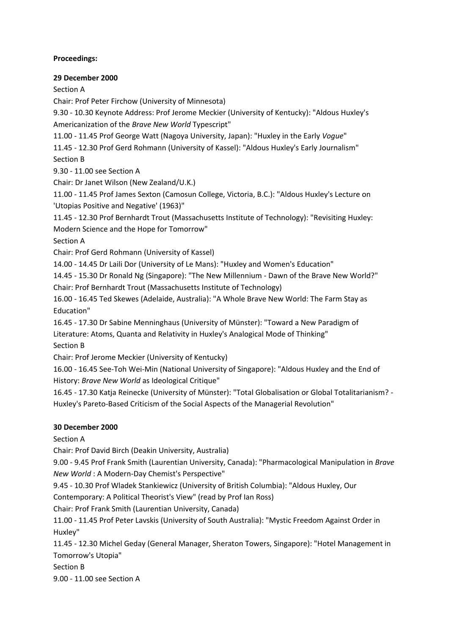## **Proceedings:**

#### **29 December 2000**

Section A

Chair: Prof Peter Firchow (University of Minnesota)

9.30 - 10.30 Keynote Address: Prof Jerome Meckier (University of Kentucky): "Aldous Huxley's Americanization of the *Brave New World* Typescript"

11.00 - 11.45 Prof George Watt (Nagoya University, Japan): "Huxley in the Early *Vogue*"

11.45 - 12.30 Prof Gerd Rohmann (University of Kassel): "Aldous Huxley's Early Journalism" Section B

9.30 - 11.00 see Section A

Chair: Dr Janet Wilson (New Zealand/U.K.)

11.00 - 11.45 Prof James Sexton (Camosun College, Victoria, B.C.): "Aldous Huxley's Lecture on 'Utopias Positive and Negative' (1963)"

11.45 - 12.30 Prof Bernhardt Trout (Massachusetts Institute of Technology): "Revisiting Huxley: Modern Science and the Hope for Tomorrow"

Section A

Chair: Prof Gerd Rohmann (University of Kassel)

14.00 - 14.45 Dr Laili Dor (University of Le Mans): "Huxley and Women's Education"

14.45 - 15.30 Dr Ronald Ng (Singapore): "The New Millennium - Dawn of the Brave New World?" Chair: Prof Bernhardt Trout (Massachusetts Institute of Technology)

16.00 - 16.45 Ted Skewes (Adelaide, Australia): "A Whole Brave New World: The Farm Stay as Education"

16.45 - 17.30 Dr Sabine Menninghaus (University of Münster): "Toward a New Paradigm of Literature: Atoms, Quanta and Relativity in Huxley's Analogical Mode of Thinking" Section B

Chair: Prof Jerome Meckier (University of Kentucky)

16.00 - 16.45 See-Toh Wei-Min (National University of Singapore): "Aldous Huxley and the End of History: *Brave New World* as Ideological Critique"

16.45 - 17.30 Katja Reinecke (University of Münster): "Total Globalisation or Global Totalitarianism? - Huxley's Pareto-Based Criticism of the Social Aspects of the Managerial Revolution"

# **30 December 2000**

Section A

Chair: Prof David Birch (Deakin University, Australia)

9.00 - 9.45 Prof Frank Smith (Laurentian University, Canada): "Pharmacological Manipulation in *Brave New World* : A Modern-Day Chemist's Perspective"

9.45 - 10.30 Prof Wladek Stankiewicz (University of British Columbia): "Aldous Huxley, Our

Contemporary: A Political Theorist's View" (read by Prof Ian Ross)

Chair: Prof Frank Smith (Laurentian University, Canada)

11.00 - 11.45 Prof Peter Lavskis (University of South Australia): "Mystic Freedom Against Order in Huxley"

11.45 - 12.30 Michel Geday (General Manager, Sheraton Towers, Singapore): "Hotel Management in Tomorrow's Utopia"

Section B

9.00 - 11.00 see Section A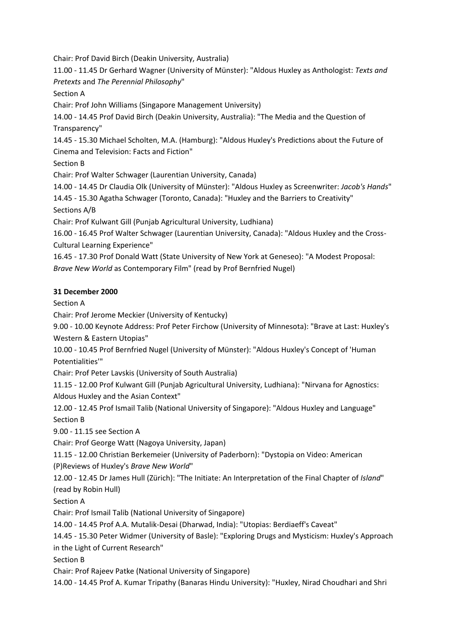Chair: Prof David Birch (Deakin University, Australia)

11.00 - 11.45 Dr Gerhard Wagner (University of Münster): "Aldous Huxley as Anthologist: *Texts and Pretexts* and *The Perennial Philosophy*"

Section A

Chair: Prof John Williams (Singapore Management University)

14.00 - 14.45 Prof David Birch (Deakin University, Australia): "The Media and the Question of Transparency"

14.45 - 15.30 Michael Scholten, M.A. (Hamburg): "Aldous Huxley's Predictions about the Future of Cinema and Television: Facts and Fiction"

Section B

Chair: Prof Walter Schwager (Laurentian University, Canada)

14.00 - 14.45 Dr Claudia Olk (University of Münster): "Aldous Huxley as Screenwriter: *Jacob's Hands*"

14.45 - 15.30 Agatha Schwager (Toronto, Canada): "Huxley and the Barriers to Creativity" Sections A/B

Chair: Prof Kulwant Gill (Punjab Agricultural University, Ludhiana)

16.00 - 16.45 Prof Walter Schwager (Laurentian University, Canada): "Aldous Huxley and the Cross-Cultural Learning Experience"

16.45 - 17.30 Prof Donald Watt (State University of New York at Geneseo): "A Modest Proposal: *Brave New World* as Contemporary Film" (read by Prof Bernfried Nugel)

## **31 December 2000**

Section A

Chair: Prof Jerome Meckier (University of Kentucky)

9.00 - 10.00 Keynote Address: Prof Peter Firchow (University of Minnesota): "Brave at Last: Huxley's Western & Eastern Utopias"

10.00 - 10.45 Prof Bernfried Nugel (University of Münster): "Aldous Huxley's Concept of 'Human Potentialities'"

Chair: Prof Peter Lavskis (University of South Australia)

11.15 - 12.00 Prof Kulwant Gill (Punjab Agricultural University, Ludhiana): "Nirvana for Agnostics: Aldous Huxley and the Asian Context"

12.00 - 12.45 Prof Ismail Talib (National University of Singapore): "Aldous Huxley and Language" Section B

9.00 - 11.15 see Section A

Chair: Prof George Watt (Nagoya University, Japan)

11.15 - 12.00 Christian Berkemeier (University of Paderborn): "Dystopia on Video: American (P)Reviews of Huxley's *Brave New World*"

12.00 - 12.45 Dr James Hull (Zürich): "The Initiate: An Interpretation of the Final Chapter of *Island*" (read by Robin Hull)

Section A

Chair: Prof Ismail Talib (National University of Singapore)

14.00 - 14.45 Prof A.A. Mutalik-Desai (Dharwad, India): "Utopias: Berdiaeff's Caveat"

14.45 - 15.30 Peter Widmer (University of Basle): "Exploring Drugs and Mysticism: Huxley's Approach in the Light of Current Research"

Section B

Chair: Prof Rajeev Patke (National University of Singapore)

14.00 - 14.45 Prof A. Kumar Tripathy (Banaras Hindu University): "Huxley, Nirad Choudhari and Shri